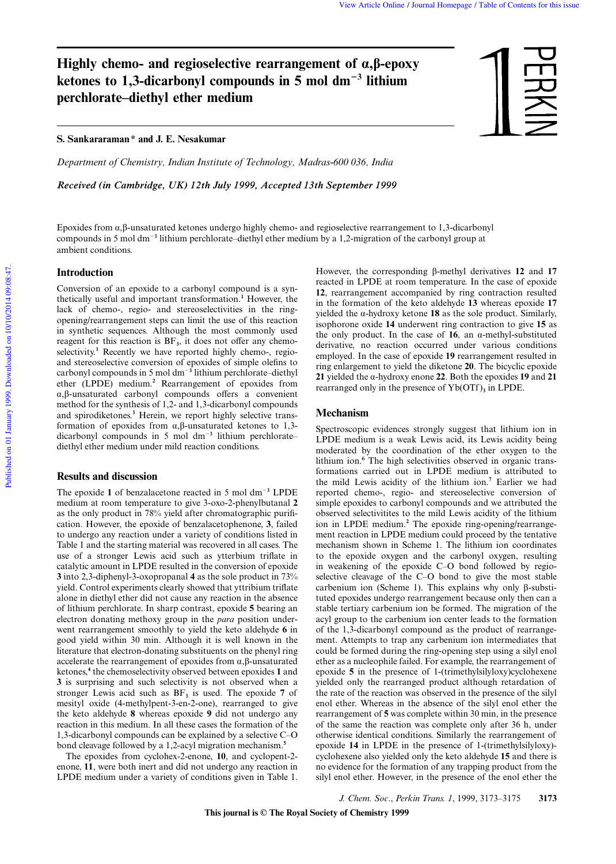# **Highly chemo- and regioselective rearrangement of**  $\alpha$ **,β-epoxy** ketones to 1,3-dicarbonyl compounds in 5 mol dm<sup>-3</sup> lithium **perchlorate–diethyl ether medium**

**S. Sankararaman \* and J. E. Nesakumar**

*Department of Chemistry, Indian Institute of Technology, Madras-600 036, India*

*Received (in Cambridge, UK) 12th July 1999, Accepted 13th September 1999*



Epoxides from α,β-unsaturated ketones undergo highly chemo- and regioselective rearrangement to 1,3-dicarbonyl compounds in 5 mol dm<sup>-3</sup> lithium perchlorate–diethyl ether medium by a 1,2-migration of the carbonyl group at ambient conditions.

## **Introduction**

Conversion of an epoxide to a carbonyl compound is a synthetically useful and important transformation.**<sup>1</sup>** However, the lack of chemo-, regio- and stereoselectivities in the ringopening/rearrangement steps can limit the use of this reaction in synthetic sequences. Although the most commonly used reagent for this reaction is  $BF_3$ , it does not offer any chemoselectivity.<sup>1</sup> Recently we have reported highly chemo-, regioand stereoselective conversion of epoxides of simple olefins to carbonyl compounds in 5 mol dm<sup>-3</sup> lithium perchlorate–diethyl ether (LPDE) medium.**<sup>2</sup>** Rearrangement of epoxides from α,β-unsaturated carbonyl compounds offers a convenient method for the synthesis of 1,2- and 1,3-dicarbonyl compounds and spirodiketones.**<sup>3</sup>** Herein, we report highly selective transformation of epoxides from α,β-unsaturated ketones to 1,3 dicarbonyl compounds in 5 mol dm<sup>-3</sup> lithium perchloratediethyl ether medium under mild reaction conditions.

# **Results and discussion**

The epoxide 1 of benzalacetone reacted in 5 mol dm<sup>-3</sup> LPDE medium at room temperature to give 3-oxo-2-phenylbutanal **2** as the only product in 78% yield after chromatographic purification. However, the epoxide of benzalacetophenone, **3**, failed to undergo any reaction under a variety of conditions listed in Table 1 and the starting material was recovered in all cases. The use of a stronger Lewis acid such as ytterbium triflate in catalytic amount in LPDE resulted in the conversion of epoxide **3** into 2,3-diphenyl-3-oxopropanal **4** as the sole product in 73% yield. Control experiments clearly showed that yttribium triflate alone in diethyl ether did not cause any reaction in the absence of lithium perchlorate. In sharp contrast, epoxide **5** bearing an electron donating methoxy group in the *para* position underwent rearrangement smoothly to yield the keto aldehyde **6** in good yield within 30 min. Although it is well known in the literature that electron-donating substituents on the phenyl ring accelerate the rearrangement of epoxides from α,β-unsaturated ketones,**<sup>4</sup>** the chemoselectivity observed between epoxides **1** and **3** is surprising and such selectivity is not observed when a stronger Lewis acid such as  $BF_3$  is used. The epoxide 7 of mesityl oxide (4-methylpent-3-en-2-one), rearranged to give the keto aldehyde **8** whereas epoxide **9** did not undergo any reaction in this medium. In all these cases the formation of the 1,3-dicarbonyl compounds can be explained by a selective C–O bond cleavage followed by a 1,2-acyl migration mechanism.**<sup>5</sup>**

The epoxides from cyclohex-2-enone, **10**, and cyclopent-2 enone, **11**, were both inert and did not undergo any reaction in LPDE medium under a variety of conditions given in Table 1.

However, the corresponding β-methyl derivatives **12** and **17** reacted in LPDE at room temperature. In the case of epoxide **12**, rearrangement accompanied by ring contraction resulted in the formation of the keto aldehyde **13** whereas epoxide **17** yielded the α-hydroxy ketone **18** as the sole product. Similarly, isophorone oxide **14** underwent ring contraction to give **15** as the only product. In the case of **16**, an α-methyl-substituted derivative, no reaction occurred under various conditions employed. In the case of epoxide **19** rearrangement resulted in ring enlargement to yield the diketone **20**. The bicyclic epoxide **21** yielded the α-hydroxy enone **22**. Both the epoxides **19** and **21** rearranged only in the presence of  $Yb(OTF)$ <sub>3</sub> in LPDE.

## **Mechanism**

Spectroscopic evidences strongly suggest that lithium ion in LPDE medium is a weak Lewis acid, its Lewis acidity being moderated by the coordination of the ether oxygen to the lithium ion.**<sup>6</sup>** The high selectivities observed in organic transformations carried out in LPDE medium is attributed to the mild Lewis acidity of the lithium ion.**<sup>7</sup>** Earlier we had reported chemo-, regio- and stereoselective conversion of simple epoxides to carbonyl compounds and we attributed the observed selectivitites to the mild Lewis acidity of the lithium ion in LPDE medium.**<sup>2</sup>** The epoxide ring-opening/rearrangement reaction in LPDE medium could proceed by the tentative mechanism shown in Scheme 1. The lithium ion coordinates to the epoxide oxygen and the carbonyl oxygen, resulting in weakening of the epoxide C–O bond followed by regioselective cleavage of the C–O bond to give the most stable carbenium ion (Scheme 1). This explains why only β-substituted epoxides undergo rearrangement because only then can a stable tertiary carbenium ion be formed. The migration of the acyl group to the carbenium ion center leads to the formation of the 1,3-dicarbonyl compound as the product of rearrangement. Attempts to trap any carbenium ion intermediates that could be formed during the ring-opening step using a silyl enol ether as a nucleophile failed. For example, the rearrangement of epoxide **5** in the presence of 1-(trimethylsilyloxy)cyclohexene yielded only the rearranged product although retardation of the rate of the reaction was observed in the presence of the silyl enol ether. Whereas in the absence of the silyl enol ether the rearrangement of **5** was complete within 30 min, in the presence of the same the reaction was complete only after 36 h, under otherwise identical conditions. Similarly the rearrangement of epoxide **14** in LPDE in the presence of 1-(trimethylsilyloxy) cyclohexene also yielded only the keto aldehyde **15** and there is no evidence for the formation of any trapping product from the silyl enol ether. However, in the presence of the enol ether the

*J. Chem. Soc*., *Perkin Trans. 1*, 1999, 3173–3175 **3173**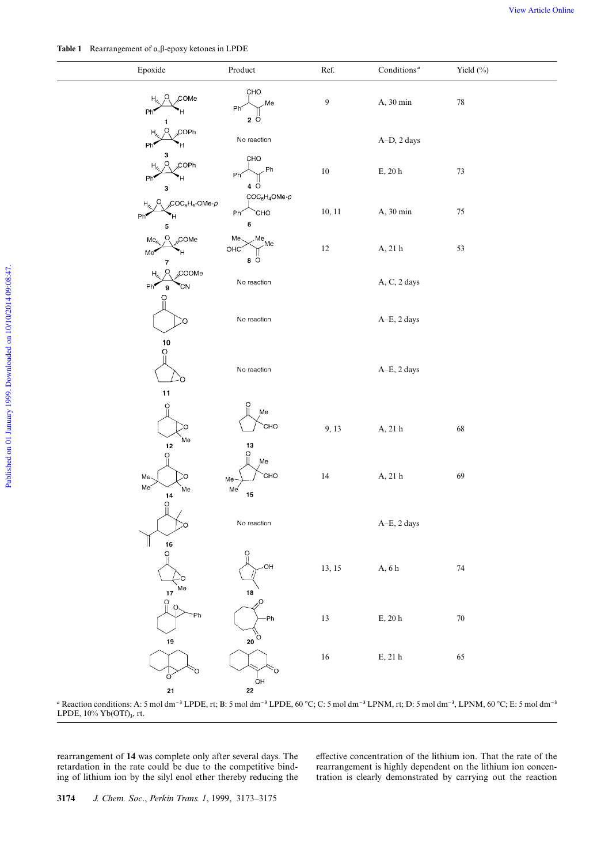| Epoxide                                                                         | $\bf Product$                                                           | Ref.             | Conditions <sup><math>a</math></sup>                 | Yield (%) |
|---------------------------------------------------------------------------------|-------------------------------------------------------------------------|------------------|------------------------------------------------------|-----------|
| <sub>s</sub> COMe<br><u>o</u><br>$\mathsf{H}_{\mathsf{z}_2}$<br>Ph <sup>*</sup> | CHO<br>Me<br>Phi<br>$2^\circ$ O                                         | $\boldsymbol{9}$ | A, 30 min                                            | $78\,$    |
| O<br>"COPh<br>Η,<br>Ph'                                                         | No reaction                                                             |                  | A-D, 2 days                                          |           |
| з<br>O<br>"COPh<br>Η,<br>Ph <sup>*</sup><br>Η<br>З                              | CHO<br>.Ph<br>Phi<br>4 O                                                | $10\,$           | $\mathop{\hbox{\rm E}}$ , 20 $\mathop{\hbox{\rm h}}$ | $73\,$    |
| ${}_{8}COC_{6}H_{4}$ -OMe- $\rho$<br>$\circ$<br>Η,<br>Ph<br>Ή<br>5              | $\text{COC}_6\text{H}_4\text{OMe-}\rho$<br>CHO <sup>-</sup><br>Ph<<br>6 | 10, 11           | A, 30 min                                            | $75\,$    |
| O<br><sub>N</sub> COMe<br>Me,<br>Me<br>7                                        | Me <sub>3</sub><br>Me<br>Me<br>OHC<br>$8^\circ$                         | $12\,$           | A, 21 $\rm h$                                        | 53        |
| O<br><sub>N</sub> COOMe<br>Η,<br>Ph <sup>2</sup><br>°CN<br>9<br>O               | No reaction                                                             |                  | A, C, 2 days                                         |           |
| Ю<br>$10\,$                                                                     | No reaction                                                             |                  | A-E, 2 days                                          |           |
| O<br>Ó                                                                          | No reaction                                                             |                  | A-E, 2 days                                          |           |
| 11<br>O<br>O<br>Me<br>$12$                                                      | O<br>Me<br>CHO<br>13                                                    | 9, 13            | A, 21 h                                              | 68        |
| O<br>Me<br>O<br>Me <sup>-</sup><br>`Me<br>14                                    | $\frac{0}{11}$<br>Me<br><b>CHO</b><br>Me<br>Me<br>15                    | $14\,$           | A, 21 h                                              | 69        |
| O                                                                               | No reaction                                                             |                  | $A-E$ , 2 days                                       |           |
| 16<br>O<br>n<br>Me<br>17                                                        | C<br>-OH<br>$18$                                                        | 13, 15           | A, $6\ \mathrm{h}$                                   | 74        |
| O<br>O<br>Ph<br>19                                                              | Q,<br>-Ph<br>$20^{10}$                                                  | $13\,$           | $\mathbf{E},$ 20 h                                   | $70\,$    |
| O<br>o                                                                          |                                                                         | $16\,$           | $\mathop{\hbox{\rm E}}\nolimits,$ 21 h               | 65        |
| 21                                                                              | OH<br>22                                                                |                  |                                                      |           |

<sup>*a*</sup> Reaction conditions: A: 5 mol dm<sup>-3</sup> LPDE, rt; B: 5 mol dm<sup>-3</sup> LPDE, 60 °C; C: 5 mol dm<sup>-3</sup> LPNM, rt; D: 5 mol dm<sup>-3</sup>, LPNM, 60 °C; E: 5 mol dm<sup>-3</sup> LPDE, 10% Yb(OTf)**<sup>3</sup>** , rt.

rearrangement of **14** was complete only after several days. The retardation in the rate could be due to the competitive binding of lithium ion by the silyl enol ether thereby reducing the effective concentration of the lithium ion. That the rate of the rearrangement is highly dependent on the lithium ion concentration is clearly demonstrated by carrying out the reaction